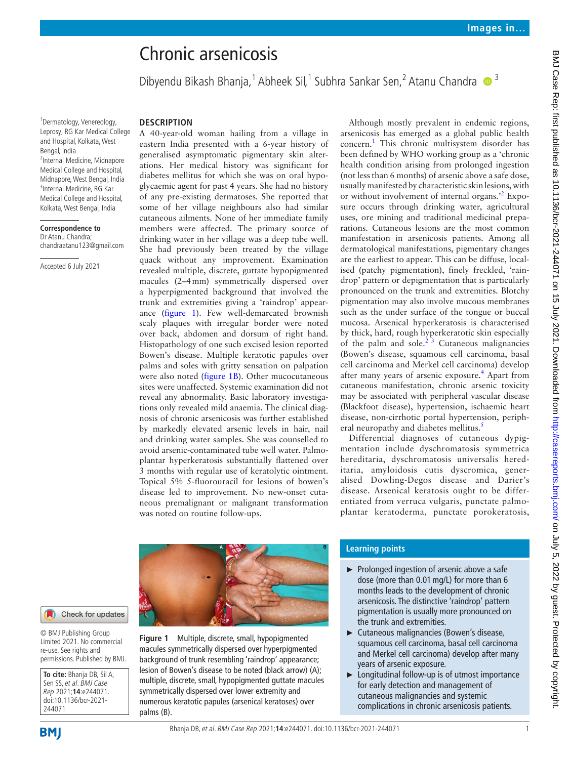# Chronic arsenicosis

Dibyendu Bikash Bhanja,<sup>1</sup> Abheek Sil,<sup>1</sup> Subhra Sankar Sen,<sup>2</sup> Atanu Chandra <sup>19</sup>

1 Dermatology, Venereology, Leprosy, RG Kar Medical College and Hospital, Kolkata, West Bengal, India <sup>2</sup>Internal Medicine, Midnapore Medical College and Hospital, Midnapore, West Bengal, India <sup>3</sup>Internal Medicine, RG Kar Medical College and Hospital, Kolkata, West Bengal, India

### **Correspondence to**

Dr Atanu Chandra; chandraatanu123@gmail.com

Accepted 6 July 2021

## **DESCRIPTION**

A 40-year-old woman hailing from a village in eastern India presented with a 6-year history of generalised asymptomatic pigmentary skin alterations. Her medical history was significant for diabetes mellitus for which she was on oral hypoglycaemic agent for past 4 years. She had no history of any pre-existing dermatoses. She reported that some of her village neighbours also had similar cutaneous ailments. None of her immediate family members were affected. The primary source of drinking water in her village was a deep tube well. She had previously been treated by the village quack without any improvement. Examination revealed multiple, discrete, guttate hypopigmented macules (2–4mm) symmetrically dispersed over a hyperpigmented background that involved the trunk and extremities giving a 'raindrop' appearance ([figure](#page-0-0) 1). Few well-demarcated brownish scaly plaques with irregular border were noted over back, abdomen and dorsum of right hand. Histopathology of one such excised lesion reported Bowen's disease. Multiple keratotic papules over palms and soles with gritty sensation on palpation were also noted [\(figure](#page-0-0) 1B). Other mucocutaneous sites were unaffected. Systemic examination did not reveal any abnormality. Basic laboratory investigations only revealed mild anaemia. The clinical diagnosis of chronic arsenicosis was further established by markedly elevated arsenic levels in hair, nail and drinking water samples. She was counselled to avoid arsenic-contaminated tube well water. Palmoplantar hyperkeratosis substantially flattened over 3 months with regular use of keratolytic ointment. Topical 5% 5-fluorouracil for lesions of bowen's disease led to improvement. No new-onset cutaneous premalignant or malignant transformation was noted on routine follow-ups.

Although mostly prevalent in endemic regions, arsenicosis has emerged as a global public health concern.[1](#page-1-0) This chronic multisystem disorder has been defined by WHO working group as a 'chronic health condition arising from prolonged ingestion (not less than 6 months) of arsenic above a safe dose, usually manifested by characteristic skin lesions, with or without involvement of internal organs.<sup>[2](#page-1-1)</sup> Exposure occurs through drinking water, agricultural uses, ore mining and traditional medicinal preparations. Cutaneous lesions are the most common manifestation in arsenicosis patients. Among all dermatological manifestations, pigmentary changes are the earliest to appear. This can be diffuse, localised (patchy pigmentation), finely freckled, 'raindrop' pattern or depigmentation that is particularly pronounced on the trunk and extremities. Blotchy pigmentation may also involve mucous membranes such as the under surface of the tongue or buccal mucosa. Arsenical hyperkeratosis is characterised by thick, hard, rough hyperkeratotic skin especially of the palm and sole. $2^{3}$  Cutaneous malignancies (Bowen's disease, squamous cell carcinoma, basal cell carcinoma and Merkel cell carcinoma) develop after many years of arsenic exposure.<sup>[4](#page-1-2)</sup> Apart from cutaneous manifestation, chronic arsenic toxicity may be associated with peripheral vascular disease (Blackfoot disease), hypertension, ischaemic heart disease, non-cirrhotic portal hypertension, peripheral neuropathy and diabetes mellitus.<sup>5</sup>

Differential diagnoses of cutaneous dypigmentation include dyschromatosis symmetrica hereditaria, dyschromatosis universalis hereditaria, amyloidosis cutis dyscromica, generalised Dowling-Degos disease and Darier's disease. Arsenical keratosis ought to be differentiated from verruca vulgaris, punctate palmoplantar keratoderma, punctate porokeratosis,



Check for updates

© BMJ Publishing Group Limited 2021. No commercial re-use. See rights and permissions. Published by BMJ.

**To cite:** Bhanja DB, Sil A, Sen SS, et al. BMJ Case Rep 2021;**14**:e244071. doi:10.1136/bcr-2021- 244071

<span id="page-0-0"></span>**Figure 1** Multiple, discrete, small, hypopigmented macules symmetrically dispersed over hyperpigmented background of trunk resembling 'raindrop' appearance; lesion of Bowen's disease to be noted (black arrow) (A); multiple, discrete, small, hypopigmented guttate macules symmetrically dispersed over lower extremity and numerous keratotic papules (arsenical keratoses) over palms (B).

## **Learning points**

- ► Prolonged ingestion of arsenic above a safe dose (more than 0.01mg/L) for more than 6 months leads to the development of chronic arsenicosis. The distinctive 'raindrop' pattern pigmentation is usually more pronounced on the trunk and extremities.
- ► Cutaneous malignancies (Bowen's disease, squamous cell carcinoma, basal cell carcinoma and Merkel cell carcinoma) develop after many years of arsenic exposure.
- ► Longitudinal follow-up is of utmost importance for early detection and management of cutaneous malignancies and systemic complications in chronic arsenicosis patients.